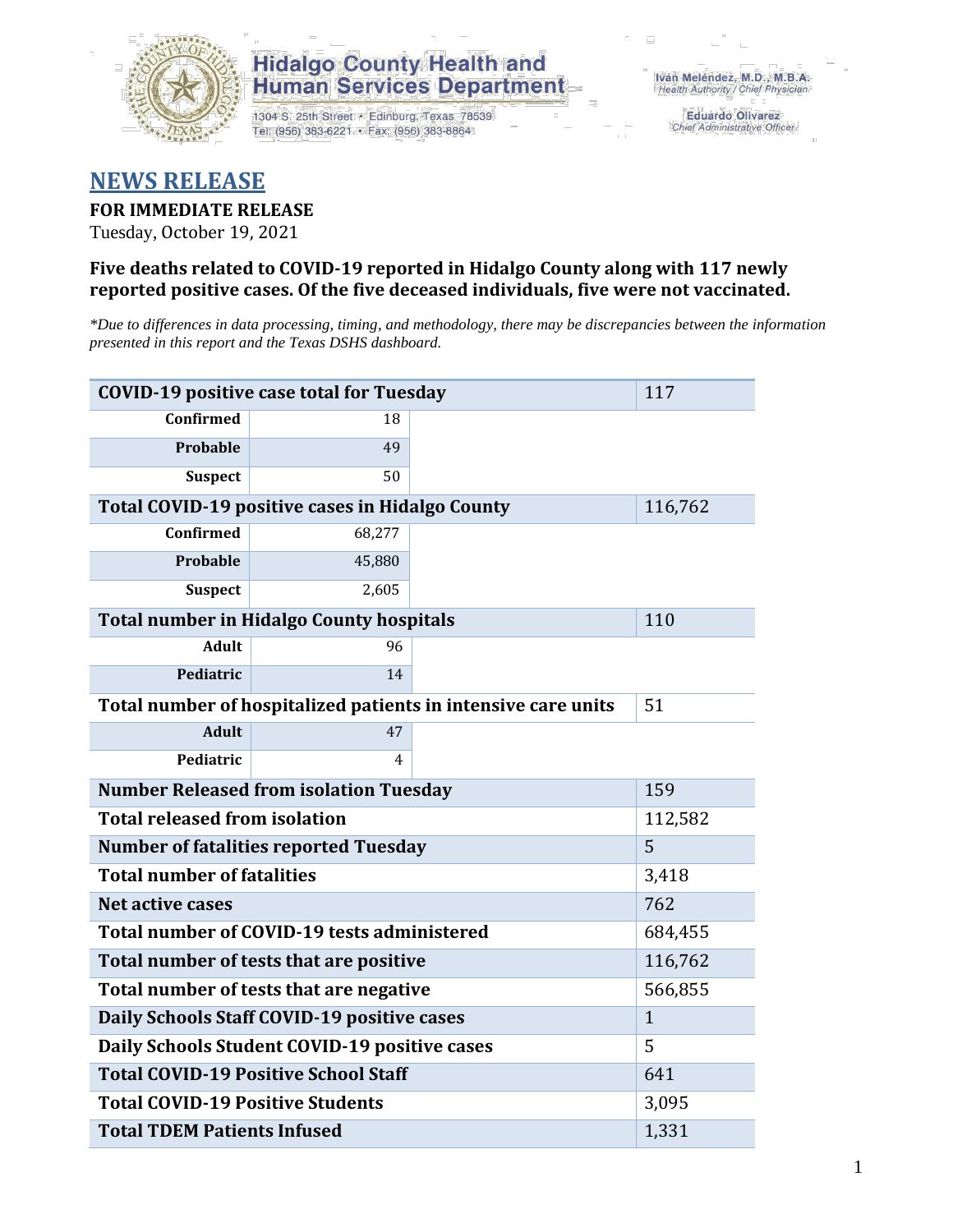

## **Hidalgo County Health and Human Services Department**

1304 S. 25th Street · Edinburg, Texas 78539 Tel: (956) 383-6221 · Fax: (956) 383-8864

**Eduardo Olivarez** Chief Administrative Officer

## **NEWS RELEASE**

### **FOR IMMEDIATE RELEASE**

Tuesday, October 19, 2021

#### **Five deaths related to COVID-19 reported in Hidalgo County along with 117 newly reported positive cases. Of the five deceased individuals, five were not vaccinated.**

*\*Due to differences in data processing, timing, and methodology, there may be discrepancies between the information presented in this report and the Texas DSHS dashboard.*

| <b>COVID-19 positive case total for Tuesday</b>               | 117                                             |  |         |  |  |
|---------------------------------------------------------------|-------------------------------------------------|--|---------|--|--|
| <b>Confirmed</b>                                              | 18                                              |  |         |  |  |
| <b>Probable</b>                                               | 49                                              |  |         |  |  |
| <b>Suspect</b>                                                | 50                                              |  |         |  |  |
|                                                               | Total COVID-19 positive cases in Hidalgo County |  | 116,762 |  |  |
| <b>Confirmed</b>                                              | 68,277                                          |  |         |  |  |
| <b>Probable</b>                                               | 45,880                                          |  |         |  |  |
| <b>Suspect</b>                                                | 2,605                                           |  |         |  |  |
| <b>Total number in Hidalgo County hospitals</b>               | 110                                             |  |         |  |  |
| <b>Adult</b>                                                  | 96                                              |  |         |  |  |
| Pediatric                                                     | 14                                              |  |         |  |  |
| Total number of hospitalized patients in intensive care units | 51                                              |  |         |  |  |
| <b>Adult</b>                                                  | 47                                              |  |         |  |  |
| Pediatric                                                     | 4                                               |  |         |  |  |
| <b>Number Released from isolation Tuesday</b>                 | 159                                             |  |         |  |  |
| <b>Total released from isolation</b><br>112,582               |                                                 |  |         |  |  |
| <b>Number of fatalities reported Tuesday</b>                  | 5                                               |  |         |  |  |
| <b>Total number of fatalities</b>                             | 3,418                                           |  |         |  |  |
| Net active cases                                              | 762                                             |  |         |  |  |
| Total number of COVID-19 tests administered                   | 684,455                                         |  |         |  |  |
| Total number of tests that are positive                       | 116,762                                         |  |         |  |  |
| Total number of tests that are negative                       | 566,855                                         |  |         |  |  |
| Daily Schools Staff COVID-19 positive cases                   | $\mathbf{1}$                                    |  |         |  |  |
| Daily Schools Student COVID-19 positive cases                 | 5                                               |  |         |  |  |
| <b>Total COVID-19 Positive School Staff</b>                   | 641                                             |  |         |  |  |
| <b>Total COVID-19 Positive Students</b>                       | 3,095                                           |  |         |  |  |
| <b>Total TDEM Patients Infused</b>                            | 1,331                                           |  |         |  |  |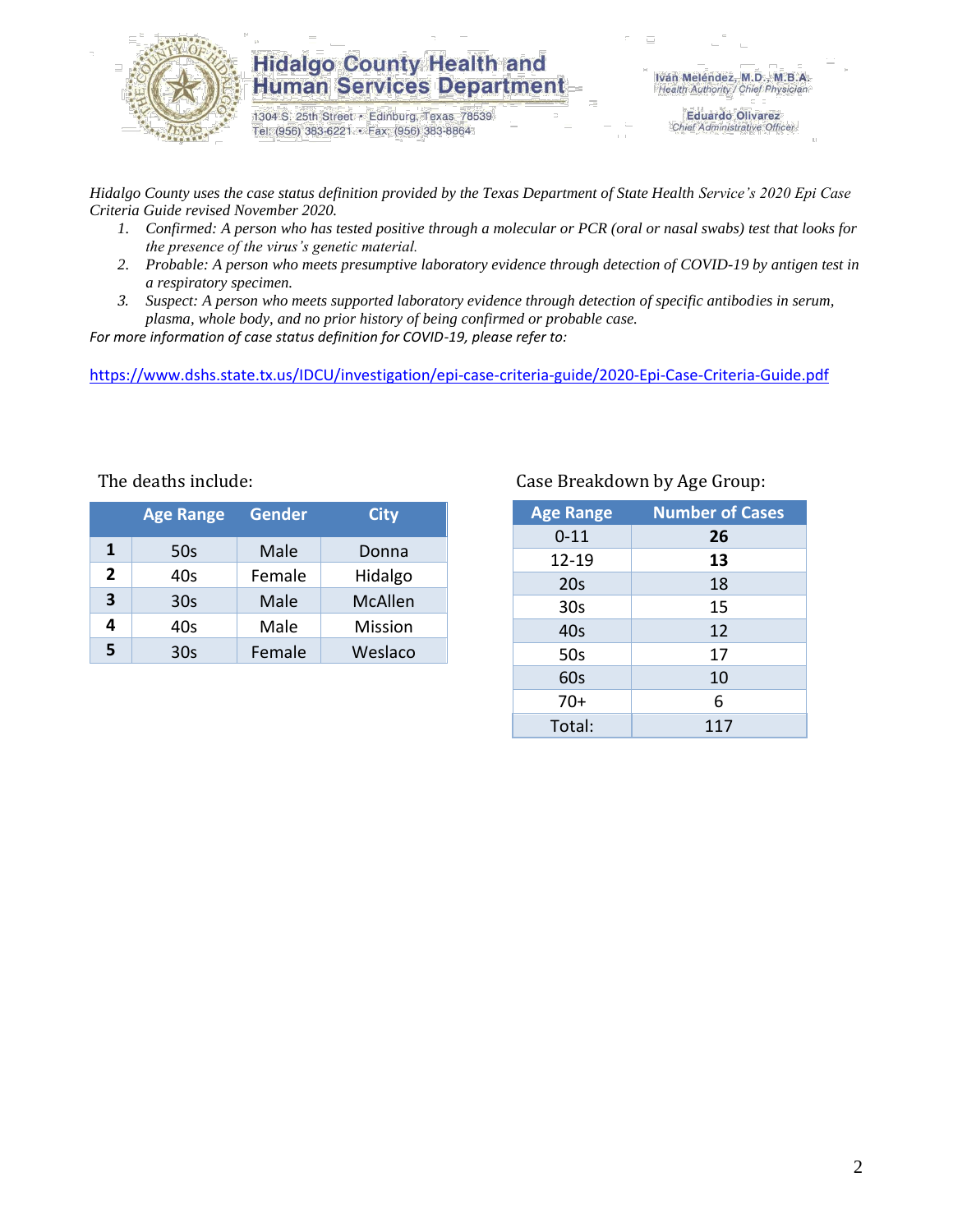

### **Hidalgo County Health and Human Services Department**

1304 S. 25th Street · Edinburg, Texas 78539 Tel: (956) 383-6221 · Fax: (956) 383-8864

Iván Meléndez, M.D., M.B.A. Health Authority / Chief Physician

> **Eduardo Olivarez** Chief Administrative Officer

*Hidalgo County uses the case status definition provided by the Texas Department of State Health Service's 2020 Epi Case Criteria Guide revised November 2020.*

- *1. Confirmed: A person who has tested positive through a molecular or PCR (oral or nasal swabs) test that looks for the presence of the virus's genetic material.*
- *2. Probable: A person who meets presumptive laboratory evidence through detection of COVID-19 by antigen test in a respiratory specimen.*
- *3. Suspect: A person who meets supported laboratory evidence through detection of specific antibodies in serum, plasma, whole body, and no prior history of being confirmed or probable case.*

*For more information of case status definition for COVID-19, please refer to:*

<https://www.dshs.state.tx.us/IDCU/investigation/epi-case-criteria-guide/2020-Epi-Case-Criteria-Guide.pdf>

|              | <b>Age Range</b> | <b>Gender</b> | <b>City</b>    |
|--------------|------------------|---------------|----------------|
| 1            | 50s              | Male          | Donna          |
| $\mathbf{2}$ | 40s              | Female        | Hidalgo        |
| 3            | 30 <sub>s</sub>  | Male          | <b>McAllen</b> |
| 4            | 40s              | Male          | Mission        |
| 5            | 30 <sub>s</sub>  | Female        | Weslaco        |

#### Case Breakdown by Age Group:

| <b>Age Range</b> | <b>Number of Cases</b> |
|------------------|------------------------|
| $0 - 11$         | 26                     |
| $12 - 19$        | 13                     |
| 20s              | 18                     |
| 30 <sub>s</sub>  | 15                     |
| 40s              | 12                     |
| 50s              | 17                     |
| 60s              | 10                     |
| $70+$            | 6                      |
| Total:           | 117                    |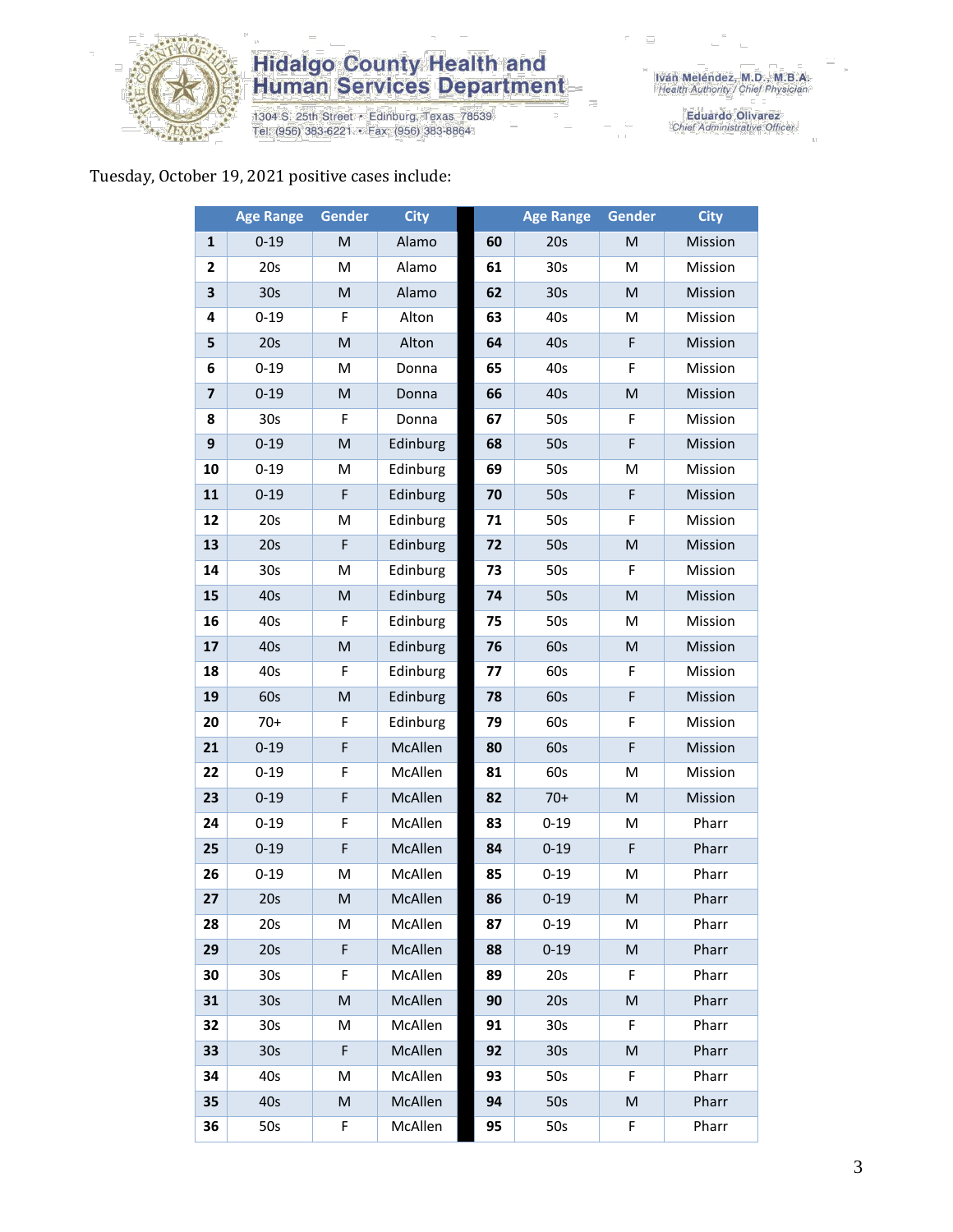

# **Hidalgo County Health and<br>Human Services Department**

1304 S. 25th Street • Edinburg, Texas 78539<br>Tel: (956) 383-6221 • Fax: (956) 383-8864

Iván Meléndez, M.D., M.B.A.<br>Health Authority / Chief Physician

Eduardo Olivarez<br>Chief Administrative Officer

#### Tuesday, October 19, 2021 positive cases include:

|                         | <b>Age Range</b> | <b>Gender</b>                                                                                              | <b>City</b> |    | <b>Age Range</b> | Gender      | <b>City</b> |
|-------------------------|------------------|------------------------------------------------------------------------------------------------------------|-------------|----|------------------|-------------|-------------|
| $\mathbf{1}$            | $0 - 19$         | M                                                                                                          | Alamo       | 60 | 20s              | M           | Mission     |
| $\mathbf{2}$            | 20s              | M                                                                                                          | Alamo       | 61 | 30s              | M           | Mission     |
| 3                       | 30 <sub>s</sub>  | ${\sf M}$                                                                                                  | Alamo       | 62 | 30 <sub>s</sub>  | ${\sf M}$   | Mission     |
| 4                       | $0 - 19$         | F                                                                                                          | Alton       | 63 | 40s              | M           | Mission     |
| 5                       | 20s              | $\mathsf{M}% _{T}=\mathsf{M}_{T}\!\left( a,b\right) ,\ \mathsf{M}_{T}=\mathsf{M}_{T}\!\left( a,b\right) ,$ | Alton       | 64 | 40s              | $\mathsf F$ | Mission     |
| 6                       | $0 - 19$         | M                                                                                                          | Donna       | 65 | 40s              | F           | Mission     |
| $\overline{\mathbf{z}}$ | $0 - 19$         | M                                                                                                          | Donna       | 66 | 40s              | ${\sf M}$   | Mission     |
| 8                       | 30s              | F                                                                                                          | Donna       | 67 | 50s              | F           | Mission     |
| $\boldsymbol{9}$        | $0 - 19$         | M                                                                                                          | Edinburg    | 68 | 50s              | F           | Mission     |
| 10                      | $0 - 19$         | M                                                                                                          | Edinburg    | 69 | 50s              | M           | Mission     |
| 11                      | $0 - 19$         | F                                                                                                          | Edinburg    | 70 | 50s              | F           | Mission     |
| 12                      | 20s              | M                                                                                                          | Edinburg    | 71 | 50s              | F           | Mission     |
| 13                      | 20s              | $\mathsf F$                                                                                                | Edinburg    | 72 | 50s              | ${\sf M}$   | Mission     |
| 14                      | 30s              | M                                                                                                          | Edinburg    | 73 | 50s              | F           | Mission     |
| 15                      | 40s              | $\mathsf{M}% _{T}=\mathsf{M}_{T}\!\left( a,b\right) ,\ \mathsf{M}_{T}=\mathsf{M}_{T}\!\left( a,b\right) ,$ | Edinburg    | 74 | 50s              | ${\sf M}$   | Mission     |
| 16                      | 40s              | F                                                                                                          | Edinburg    | 75 | 50s              | M           | Mission     |
| 17                      | 40s              | ${\sf M}$                                                                                                  | Edinburg    | 76 | 60s              | ${\sf M}$   | Mission     |
| 18                      | 40s              | F                                                                                                          | Edinburg    | 77 | 60s              | F           | Mission     |
| 19                      | 60s              | M                                                                                                          | Edinburg    | 78 | 60s              | F           | Mission     |
| 20                      | $70+$            | F                                                                                                          | Edinburg    | 79 | 60s              | F           | Mission     |
| 21                      | $0 - 19$         | $\mathsf F$                                                                                                | McAllen     | 80 | 60s              | F           | Mission     |
| 22                      | $0 - 19$         | F                                                                                                          | McAllen     | 81 | 60s              | M           | Mission     |
| 23                      | $0 - 19$         | F                                                                                                          | McAllen     | 82 | $70+$            | M           | Mission     |
| 24                      | $0 - 19$         | F                                                                                                          | McAllen     | 83 | $0 - 19$         | M           | Pharr       |
| 25                      | $0 - 19$         | $\mathsf F$                                                                                                | McAllen     | 84 | $0 - 19$         | F           | Pharr       |
| 26                      | $0 - 19$         | M                                                                                                          | McAllen     | 85 | $0 - 19$         | M           | Pharr       |
| 27                      | 20s              | M                                                                                                          | McAllen     | 86 | $0 - 19$         | M           | Pharr       |
| 28                      | 20s              | М                                                                                                          | McAllen     | 87 | $0 - 19$         | М           | Pharr       |
| 29                      | 20s              | F                                                                                                          | McAllen     | 88 | $0 - 19$         | ${\sf M}$   | Pharr       |
| 30                      | 30s              | F                                                                                                          | McAllen     | 89 | 20s              | F           | Pharr       |
| 31                      | 30 <sub>s</sub>  | M                                                                                                          | McAllen     | 90 | 20s              | M           | Pharr       |
| 32                      | 30s              | М                                                                                                          | McAllen     | 91 | 30 <sub>s</sub>  | F           | Pharr       |
| 33                      | 30 <sub>s</sub>  | F                                                                                                          | McAllen     | 92 | 30 <sub>s</sub>  | ${\sf M}$   | Pharr       |
| 34                      | 40s              | M                                                                                                          | McAllen     | 93 | 50s              | F           | Pharr       |
| 35                      | 40s              | M                                                                                                          | McAllen     | 94 | 50s              | ${\sf M}$   | Pharr       |
| 36                      | 50s              | F                                                                                                          | McAllen     | 95 | 50s              | F           | Pharr       |